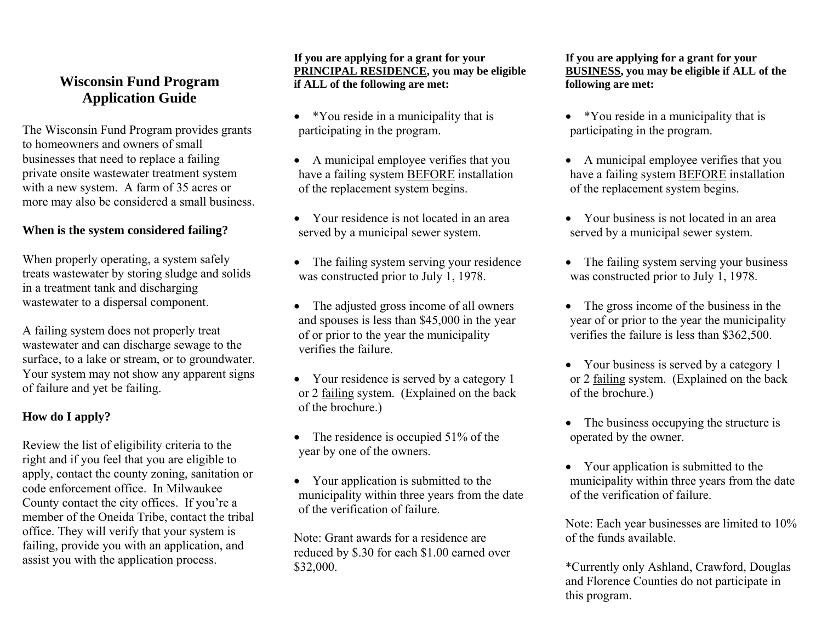# **Wisconsin Fund Program Application Guide**

The Wisconsin Fund Program provides grants to homeowners and owners of small businesses that need to replace a failing private onsite wastewater treatment system with a new system. A farm of 35 acres or more may also be considered a small business.

## **When is the system considered failing?**

When properly operating, a system safely treats wastewater by storing sludge and solids in a treatment tank and discharging wastewater to a dispersal component.

A failing system does not properly treat wastewater and can discharge sewage to the surface, to a lake or stream, or to groundwater. Your system may not show any apparent signs of failure and yet be failing.

### **How do I apply?**

Review the list of eligibility criteria to the right and if you feel that you are eligible to apply, contact the county zoning, sanitation or code enforcement office. In Milwaukee County contact the city offices. If you're a member of the Oneida Tribe, contact the tribal office. They will verify that your system is failing, provide you with an application, and assist you with the application process.

**If you are applying for a grant for your PRINCIPAL RESIDENCE, you may be eligible if ALL of the following are met:** 

- \*You reside in a municipality that is participating in the program.
- A municipal employee verifies that you have a failing system BEFORE installation of the replacement system begins.
- Your residence is not located in an area served by a municipal sewer system.
- The failing system serving your residence was constructed prior to July 1, 1978.
- The adjusted gross income of all owners and spouses is less than \$45,000 in the year of or prior to the year the municipality verifies the failure.
- Your residence is served by a category 1 or 2 failing system. (Explained on the back of the brochure.)
- The residence is occupied 51% of the year by one of the owners.
- Your application is submitted to the municipality within three years from the date of the verification of failure.

Note: Grant awards for a residence are reduced by \$.30 for each \$1.00 earned over \$32,000.

**If you are applying for a grant for your BUSINESS, you may be eligible if ALL of the following are met:** 

- \*You reside in a municipality that is participating in the program.
- A municipal employee verifies that you have a failing system BEFORE installation of the replacement system begins.
- Your business is not located in an area served by a municipal sewer system.
- The failing system serving your business was constructed prior to July 1, 1978.
- The gross income of the business in the year of or prior to the year the municipality verifies the failure is less than \$362,500.
- Your business is served by a category 1 or 2 failing system. (Explained on the back of the brochure.)
- The business occupying the structure is operated by the owner.
- Your application is submitted to the municipality within three years from the date of the verification of failure.

Note: Each year businesses are limited to 10% of the funds available.

\*Currently only Ashland, Crawford, Douglas and Florence Counties do not participate in this program.